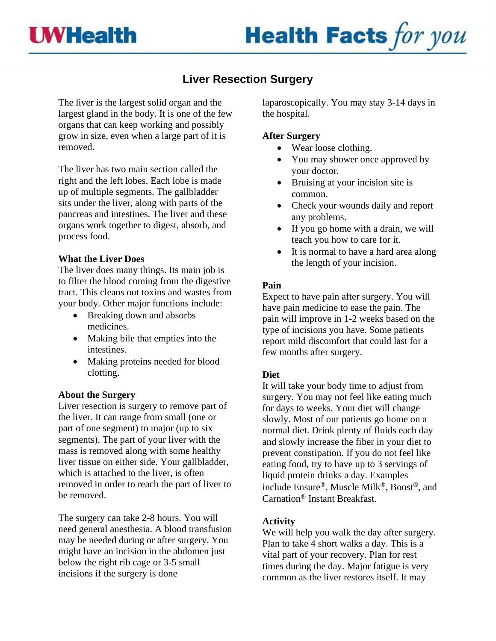# **Liver Resection Surgery**

The liver is the largest solid organ and the largest gland in the body. It is one of the few organs that can keep working and possibly grow in size, even when a large part of it is removed.

The liver has two main section called the right and the left lobes. Each lobe is made up of multiple segments. The gallbladder sits under the liver, along with parts of the pancreas and intestines. The liver and these organs work together to digest, absorb, and process food.

# **What the Liver Does**

The liver does many things. Its main job is to filter the blood coming from the digestive tract. This cleans out toxins and wastes from your body. Other major functions include:

- Breaking down and absorbs medicines.
- Making bile that empties into the intestines.
- Making proteins needed for blood clotting.

## **About the Surgery**

Liver resection is surgery to remove part of the liver. It can range from small (one or part of one segment) to major (up to six segments). The part of your liver with the mass is removed along with some healthy liver tissue on either side. Your [gallbladder,](http://www.webmd.com/hw-popup/gallbladder) which is attached to the liver, is often removed in order to reach the part of liver to be removed.

The surgery can take 2-8 hours. You will need [general anesthesia.](http://www.webmd.com/hw-popup/general-anesthesia) A [blood transfusion](http://www.webmd.com/hw-popup/blood-transfusion) may be needed during or after surgery. You might have an incision in the abdomen just below the right rib cage or 3-5 small incisions if the surgery is done

laparoscopically. You may stay 3-14 days in the hospital.

## **After Surgery**

- Wear loose clothing.
- You may shower once approved by your doctor.
- Bruising at your incision site is common.
- Check your wounds daily and report any problems.
- If you go home with a drain, we will teach you how to care for it.
- It is normal to have a hard area along the length of your incision.

# **Pain**

Expect to have pain after surgery. You will have pain medicine to ease the pain. The pain will improve in 1-2 weeks based on the type of incisions you have. Some patients report mild discomfort that could last for a few months after surgery.

# **Diet**

It will take your body time to adjust from surgery. You may not feel like eating much for days to weeks. Your diet will change slowly. Most of our patients go home on a normal diet. Drink plenty of fluids each day and slowly increase the fiber in your diet to prevent constipation. If you do not feel like eating food, try to have up to 3 servings of liquid protein drinks a day. Examples include Ensure®, Muscle Milk®, Boost®, and Carnation<sup>®</sup> Instant Breakfast.

# **Activity**

We will help you walk the day after surgery. Plan to take 4 short walks a day. This is a vital part of your recovery. Plan for rest times during the day. Major fatigue is very common as the liver restores itself. It may